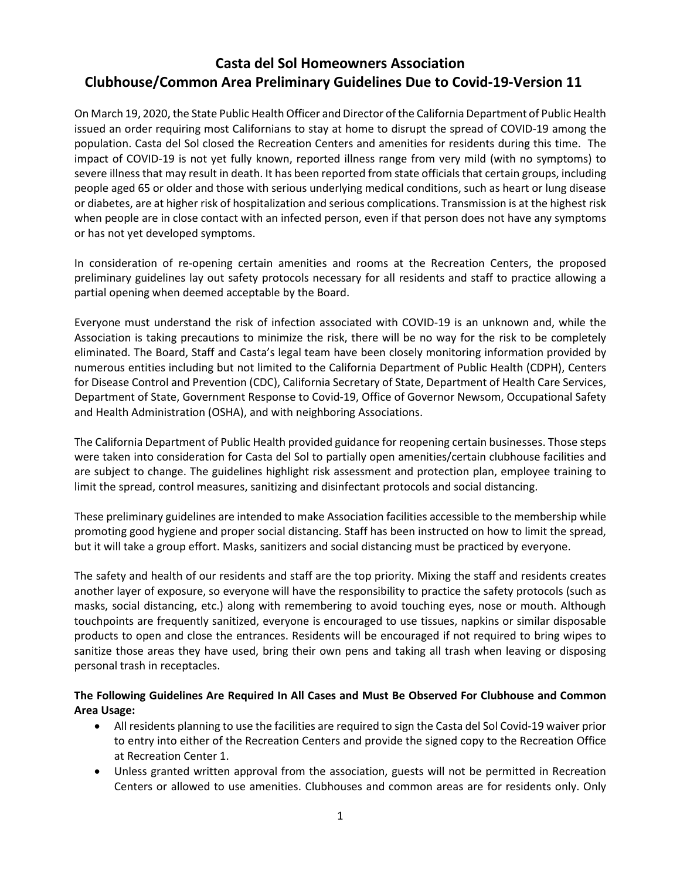# **Casta del Sol Homeowners Association Clubhouse/Common Area Preliminary Guidelines Due to Covid-19-Version 11**

On March 19, 2020, the State Public Health Officer and Director of the California Department of Public Health issued an order requiring most Californians to stay at home to disrupt the spread of COVID-19 among the population. Casta del Sol closed the Recreation Centers and amenities for residents during this time. The impact of COVID-19 is not yet fully known, reported illness range from very mild (with no symptoms) to severe illness that may result in death. It has been reported from state officials that certain groups, including people aged 65 or older and those with serious underlying medical conditions, such as heart or lung disease or diabetes, are at higher risk of hospitalization and serious complications. Transmission is at the highest risk when people are in close contact with an infected person, even if that person does not have any symptoms or has not yet developed symptoms.

In consideration of re-opening certain amenities and rooms at the Recreation Centers, the proposed preliminary guidelines lay out safety protocols necessary for all residents and staff to practice allowing a partial opening when deemed acceptable by the Board.

Everyone must understand the risk of infection associated with COVID-19 is an unknown and, while the Association is taking precautions to minimize the risk, there will be no way for the risk to be completely eliminated. The Board, Staff and Casta's legal team have been closely monitoring information provided by numerous entities including but not limited to the California Department of Public Health (CDPH), Centers for Disease Control and Prevention (CDC), California Secretary of State, Department of Health Care Services, Department of State, Government Response to Covid-19, Office of Governor Newsom, Occupational Safety and Health Administration (OSHA), and with neighboring Associations.

The California Department of Public Health provided guidance for reopening certain businesses. Those steps were taken into consideration for Casta del Sol to partially open amenities/certain clubhouse facilities and are subject to change. The guidelines highlight risk assessment and protection plan, employee training to limit the spread, control measures, sanitizing and disinfectant protocols and social distancing.

These preliminary guidelines are intended to make Association facilities accessible to the membership while promoting good hygiene and proper social distancing. Staff has been instructed on how to limit the spread, but it will take a group effort. Masks, sanitizers and social distancing must be practiced by everyone.

The safety and health of our residents and staff are the top priority. Mixing the staff and residents creates another layer of exposure, so everyone will have the responsibility to practice the safety protocols (such as masks, social distancing, etc.) along with remembering to avoid touching eyes, nose or mouth. Although touchpoints are frequently sanitized, everyone is encouraged to use tissues, napkins or similar disposable products to open and close the entrances. Residents will be encouraged if not required to bring wipes to sanitize those areas they have used, bring their own pens and taking all trash when leaving or disposing personal trash in receptacles.

# **The Following Guidelines Are Required In All Cases and Must Be Observed For Clubhouse and Common Area Usage:**

- All residents planning to use the facilities are required to sign the Casta del Sol Covid-19 waiver prior to entry into either of the Recreation Centers and provide the signed copy to the Recreation Office at Recreation Center 1.
- Unless granted written approval from the association, guests will not be permitted in Recreation Centers or allowed to use amenities. Clubhouses and common areas are for residents only. Only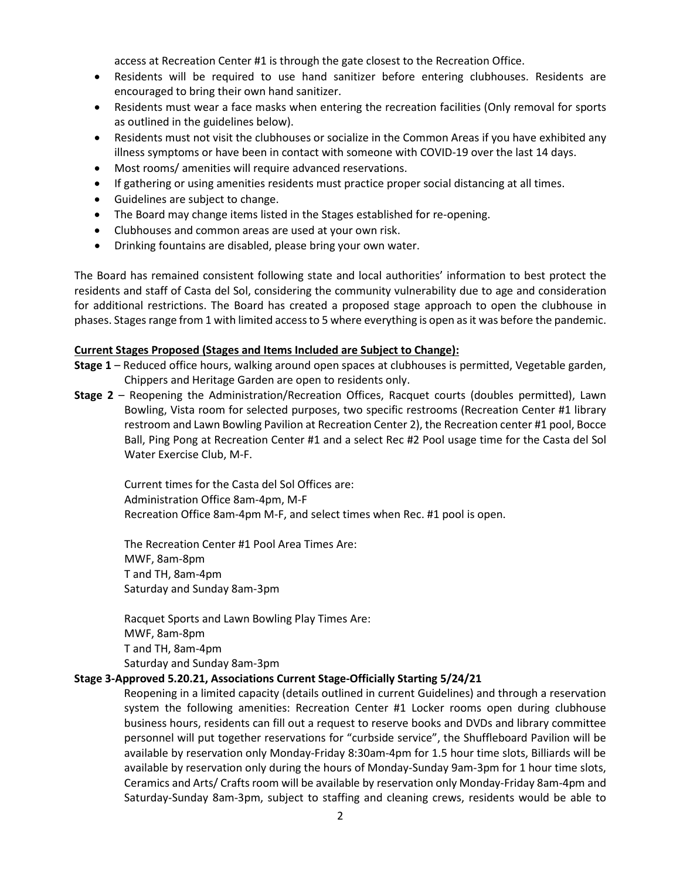access at Recreation Center #1 is through the gate closest to the Recreation Office.

- Residents will be required to use hand sanitizer before entering clubhouses. Residents are encouraged to bring their own hand sanitizer.
- Residents must wear a face masks when entering the recreation facilities (Only removal for sports as outlined in the guidelines below).
- Residents must not visit the clubhouses or socialize in the Common Areas if you have exhibited any illness symptoms or have been in contact with someone with COVID-19 over the last 14 days.
- Most rooms/ amenities will require advanced reservations.
- If gathering or using amenities residents must practice proper social distancing at all times.
- Guidelines are subject to change.
- The Board may change items listed in the Stages established for re-opening.
- Clubhouses and common areas are used at your own risk.
- Drinking fountains are disabled, please bring your own water.

The Board has remained consistent following state and local authorities' information to best protect the residents and staff of Casta del Sol, considering the community vulnerability due to age and consideration for additional restrictions. The Board has created a proposed stage approach to open the clubhouse in phases. Stages range from 1 with limited access to 5 where everything is open as it was before the pandemic.

#### **Current Stages Proposed (Stages and Items Included are Subject to Change):**

- **Stage 1** Reduced office hours, walking around open spaces at clubhouses is permitted, Vegetable garden, Chippers and Heritage Garden are open to residents only.
- **Stage 2** Reopening the Administration/Recreation Offices, Racquet courts (doubles permitted), Lawn Bowling, Vista room for selected purposes, two specific restrooms (Recreation Center #1 library restroom and Lawn Bowling Pavilion at Recreation Center 2), the Recreation center #1 pool, Bocce Ball, Ping Pong at Recreation Center #1 and a select Rec #2 Pool usage time for the Casta del Sol Water Exercise Club, M-F.

Current times for the Casta del Sol Offices are: Administration Office 8am-4pm, M-F Recreation Office 8am-4pm M-F, and select times when Rec. #1 pool is open.

The Recreation Center #1 Pool Area Times Are: MWF, 8am-8pm T and TH, 8am-4pm Saturday and Sunday 8am-3pm

Racquet Sports and Lawn Bowling Play Times Are: MWF, 8am-8pm T and TH, 8am-4pm Saturday and Sunday 8am-3pm

#### **Stage 3-Approved 5.20.21, Associations Current Stage-Officially Starting 5/24/21**

 Reopening in a limited capacity (details outlined in current Guidelines) and through a reservation system the following amenities: Recreation Center #1 Locker rooms open during clubhouse business hours, residents can fill out a request to reserve books and DVDs and library committee personnel will put together reservations for "curbside service", the Shuffleboard Pavilion will be available by reservation only Monday-Friday 8:30am-4pm for 1.5 hour time slots, Billiards will be available by reservation only during the hours of Monday-Sunday 9am-3pm for 1 hour time slots, Ceramics and Arts/ Crafts room will be available by reservation only Monday-Friday 8am-4pm and Saturday-Sunday 8am-3pm, subject to staffing and cleaning crews, residents would be able to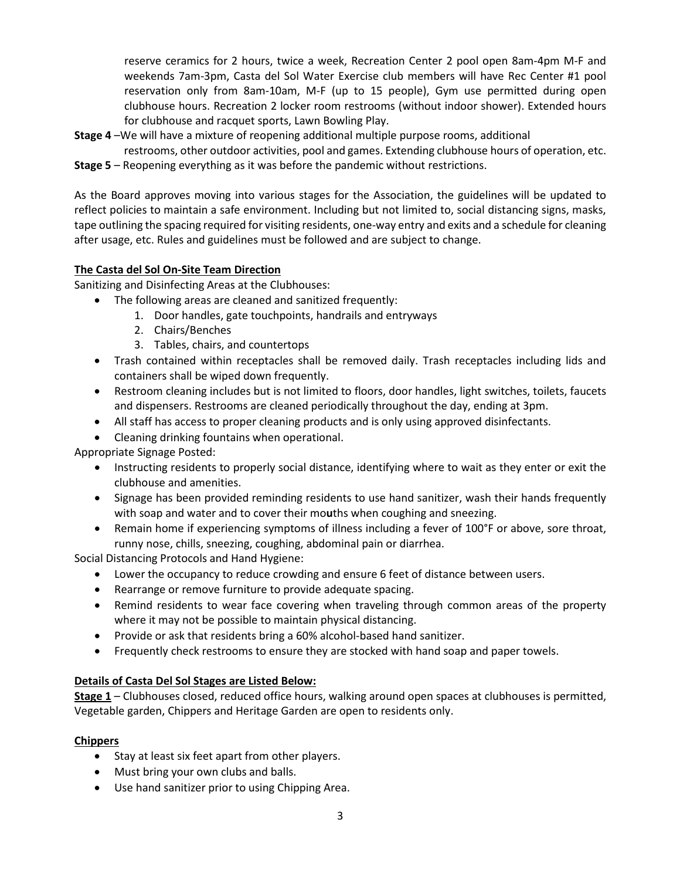reserve ceramics for 2 hours, twice a week, Recreation Center 2 pool open 8am-4pm M-F and weekends 7am-3pm, Casta del Sol Water Exercise club members will have Rec Center #1 pool reservation only from 8am-10am, M-F (up to 15 people), Gym use permitted during open clubhouse hours. Recreation 2 locker room restrooms (without indoor shower). Extended hours for clubhouse and racquet sports, Lawn Bowling Play.

- **Stage 4** –We will have a mixture of reopening additional multiple purpose rooms, additional
	- restrooms, other outdoor activities, pool and games. Extending clubhouse hours of operation, etc.
- **Stage 5** Reopening everything as it was before the pandemic without restrictions.

As the Board approves moving into various stages for the Association, the guidelines will be updated to reflect policies to maintain a safe environment. Including but not limited to, social distancing signs, masks, tape outlining the spacing required for visiting residents, one-way entry and exits and a schedule for cleaning after usage, etc. Rules and guidelines must be followed and are subject to change.

# **The Casta del Sol On-Site Team Direction**

Sanitizing and Disinfecting Areas at the Clubhouses:

- The following areas are cleaned and sanitized frequently:
	- 1. Door handles, gate touchpoints, handrails and entryways
	- 2. Chairs/Benches
	- 3. Tables, chairs, and countertops
- Trash contained within receptacles shall be removed daily. Trash receptacles including lids and containers shall be wiped down frequently.
- Restroom cleaning includes but is not limited to floors, door handles, light switches, toilets, faucets and dispensers. Restrooms are cleaned periodically throughout the day, ending at 3pm.
- All staff has access to proper cleaning products and is only using approved disinfectants.
- Cleaning drinking fountains when operational.

Appropriate Signage Posted:

- Instructing residents to properly social distance, identifying where to wait as they enter or exit the clubhouse and amenities.
- Signage has been provided reminding residents to use hand sanitizer, wash their hands frequently with soap and water and to cover their mo**u**ths when coughing and sneezing.
- Remain home if experiencing symptoms of illness including a fever of 100°F or above, sore throat, runny nose, chills, sneezing, coughing, abdominal pain or diarrhea.

Social Distancing Protocols and Hand Hygiene:

- Lower the occupancy to reduce crowding and ensure 6 feet of distance between users.
- Rearrange or remove furniture to provide adequate spacing.
- Remind residents to wear face covering when traveling through common areas of the property where it may not be possible to maintain physical distancing.
- Provide or ask that residents bring a 60% alcohol-based hand sanitizer.
- Frequently check restrooms to ensure they are stocked with hand soap and paper towels.

# **Details of Casta Del Sol Stages are Listed Below:**

**Stage 1** – Clubhouses closed, reduced office hours, walking around open spaces at clubhouses is permitted, Vegetable garden, Chippers and Heritage Garden are open to residents only.

# **Chippers**

- Stay at least six feet apart from other players.
- Must bring your own clubs and balls.
- Use hand sanitizer prior to using Chipping Area.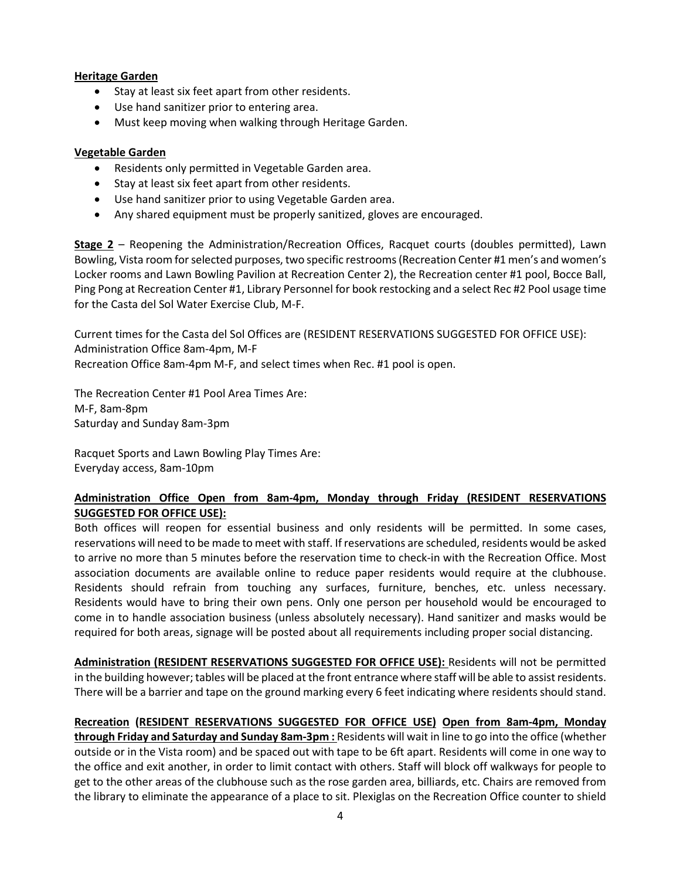### **Heritage Garden**

- Stay at least six feet apart from other residents.
- Use hand sanitizer prior to entering area.
- Must keep moving when walking through Heritage Garden.

### **Vegetable Garden**

- Residents only permitted in Vegetable Garden area.
- Stay at least six feet apart from other residents.
- Use hand sanitizer prior to using Vegetable Garden area.
- Any shared equipment must be properly sanitized, gloves are encouraged.

**Stage 2** – Reopening the Administration/Recreation Offices, Racquet courts (doubles permitted), Lawn Bowling, Vista room for selected purposes, two specific restrooms (Recreation Center #1 men's and women's Locker rooms and Lawn Bowling Pavilion at Recreation Center 2), the Recreation center #1 pool, Bocce Ball, Ping Pong at Recreation Center #1, Library Personnel for book restocking and a select Rec #2 Pool usage time for the Casta del Sol Water Exercise Club, M-F.

Current times for the Casta del Sol Offices are (RESIDENT RESERVATIONS SUGGESTED FOR OFFICE USE): Administration Office 8am-4pm, M-F Recreation Office 8am-4pm M-F, and select times when Rec. #1 pool is open.

The Recreation Center #1 Pool Area Times Are: M-F, 8am-8pm Saturday and Sunday 8am-3pm

Racquet Sports and Lawn Bowling Play Times Are: Everyday access, 8am-10pm

# **Administration Office Open from 8am-4pm, Monday through Friday (RESIDENT RESERVATIONS SUGGESTED FOR OFFICE USE):**

Both offices will reopen for essential business and only residents will be permitted. In some cases, reservations will need to be made to meet with staff. If reservations are scheduled, residents would be asked to arrive no more than 5 minutes before the reservation time to check-in with the Recreation Office. Most association documents are available online to reduce paper residents would require at the clubhouse. Residents should refrain from touching any surfaces, furniture, benches, etc. unless necessary. Residents would have to bring their own pens. Only one person per household would be encouraged to come in to handle association business (unless absolutely necessary). Hand sanitizer and masks would be required for both areas, signage will be posted about all requirements including proper social distancing.

**Administration (RESIDENT RESERVATIONS SUGGESTED FOR OFFICE USE):** Residents will not be permitted in the building however; tables will be placed at the front entrance where staff will be able to assist residents. There will be a barrier and tape on the ground marking every 6 feet indicating where residents should stand.

# **Recreation (RESIDENT RESERVATIONS SUGGESTED FOR OFFICE USE) Open from 8am-4pm, Monday**

**through Friday and Saturday and Sunday 8am-3pm :** Residents will wait in line to go into the office (whether outside or in the Vista room) and be spaced out with tape to be 6ft apart. Residents will come in one way to the office and exit another, in order to limit contact with others. Staff will block off walkways for people to get to the other areas of the clubhouse such as the rose garden area, billiards, etc. Chairs are removed from the library to eliminate the appearance of a place to sit. Plexiglas on the Recreation Office counter to shield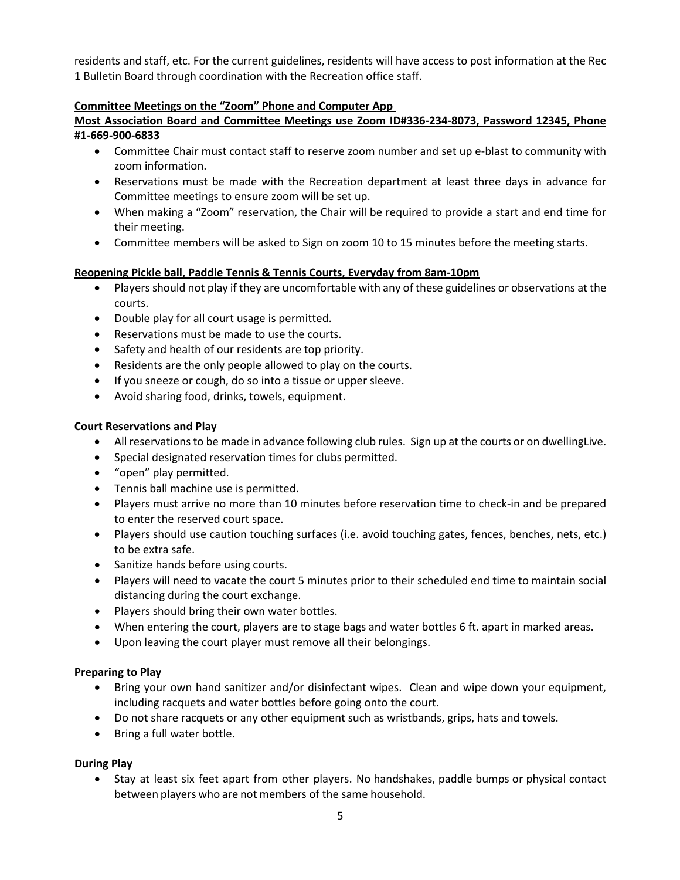residents and staff, etc. For the current guidelines, residents will have access to post information at the Rec 1 Bulletin Board through coordination with the Recreation office staff.

## **Committee Meetings on the "Zoom" Phone and Computer App**

# **Most Association Board and Committee Meetings use Zoom ID#336-234-8073, Password 12345, Phone #1-669-900-6833**

- Committee Chair must contact staff to reserve zoom number and set up e-blast to community with zoom information.
- Reservations must be made with the Recreation department at least three days in advance for Committee meetings to ensure zoom will be set up.
- When making a "Zoom" reservation, the Chair will be required to provide a start and end time for their meeting.
- Committee members will be asked to Sign on zoom 10 to 15 minutes before the meeting starts.

# **Reopening Pickle ball, Paddle Tennis & Tennis Courts, Everyday from 8am-10pm**

- Players should not play if they are uncomfortable with any of these guidelines or observations at the courts.
- Double play for all court usage is permitted.
- Reservations must be made to use the courts.
- Safety and health of our residents are top priority.
- Residents are the only people allowed to play on the courts.
- If you sneeze or cough, do so into a tissue or upper sleeve.
- Avoid sharing food, drinks, towels, equipment.

#### **Court Reservations and Play**

- All reservations to be made in advance following club rules. Sign up at the courts or on dwellingLive.
- Special designated reservation times for clubs permitted.
- "open" play permitted.
- Tennis ball machine use is permitted.
- Players must arrive no more than 10 minutes before reservation time to check-in and be prepared to enter the reserved court space.
- Players should use caution touching surfaces (i.e. avoid touching gates, fences, benches, nets, etc.) to be extra safe.
- Sanitize hands before using courts.
- Players will need to vacate the court 5 minutes prior to their scheduled end time to maintain social distancing during the court exchange.
- Players should bring their own water bottles.
- When entering the court, players are to stage bags and water bottles 6 ft. apart in marked areas.
- Upon leaving the court player must remove all their belongings.

### **Preparing to Play**

- Bring your own hand sanitizer and/or disinfectant wipes. Clean and wipe down your equipment, including racquets and water bottles before going onto the court.
- Do not share racquets or any other equipment such as wristbands, grips, hats and towels.
- Bring a full water bottle.

### **During Play**

• Stay at least six feet apart from other players. No handshakes, paddle bumps or physical contact between players who are not members of the same household.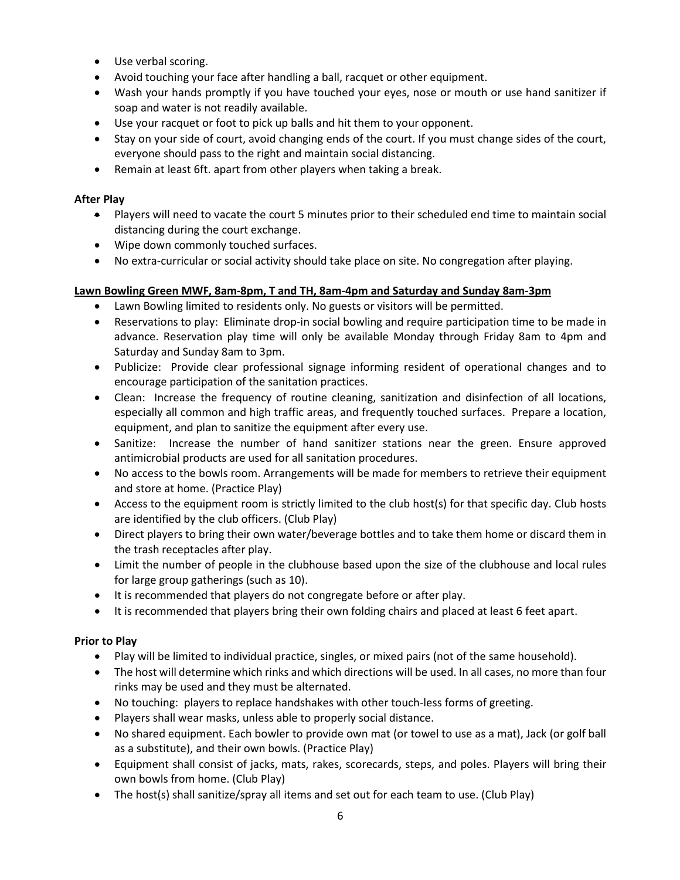- Use verbal scoring.
- Avoid touching your face after handling a ball, racquet or other equipment.
- Wash your hands promptly if you have touched your eyes, nose or mouth or use hand sanitizer if soap and water is not readily available.
- Use your racquet or foot to pick up balls and hit them to your opponent.
- Stay on your side of court, avoid changing ends of the court. If you must change sides of the court, everyone should pass to the right and maintain social distancing.
- Remain at least 6ft. apart from other players when taking a break.

# **After Play**

- Players will need to vacate the court 5 minutes prior to their scheduled end time to maintain social distancing during the court exchange.
- Wipe down commonly touched surfaces.
- No extra-curricular or social activity should take place on site. No congregation after playing.

# **Lawn Bowling Green MWF, 8am-8pm, T and TH, 8am-4pm and Saturday and Sunday 8am-3pm**

- Lawn Bowling limited to residents only. No guests or visitors will be permitted.
- Reservations to play: Eliminate drop-in social bowling and require participation time to be made in advance. Reservation play time will only be available Monday through Friday 8am to 4pm and Saturday and Sunday 8am to 3pm.
- Publicize: Provide clear professional signage informing resident of operational changes and to encourage participation of the sanitation practices.
- Clean: Increase the frequency of routine cleaning, sanitization and disinfection of all locations, especially all common and high traffic areas, and frequently touched surfaces. Prepare a location, equipment, and plan to sanitize the equipment after every use.
- Sanitize: Increase the number of hand sanitizer stations near the green. Ensure approved antimicrobial products are used for all sanitation procedures.
- No access to the bowls room. Arrangements will be made for members to retrieve their equipment and store at home. (Practice Play)
- Access to the equipment room is strictly limited to the club host(s) for that specific day. Club hosts are identified by the club officers. (Club Play)
- Direct players to bring their own water/beverage bottles and to take them home or discard them in the trash receptacles after play.
- Limit the number of people in the clubhouse based upon the size of the clubhouse and local rules for large group gatherings (such as 10).
- It is recommended that players do not congregate before or after play.
- It is recommended that players bring their own folding chairs and placed at least 6 feet apart.

# **Prior to Play**

- Play will be limited to individual practice, singles, or mixed pairs (not of the same household).
- The host will determine which rinks and which directions will be used. In all cases, no more than four rinks may be used and they must be alternated.
- No touching: players to replace handshakes with other touch-less forms of greeting.
- Players shall wear masks, unless able to properly social distance.
- No shared equipment. Each bowler to provide own mat (or towel to use as a mat), Jack (or golf ball as a substitute), and their own bowls. (Practice Play)
- Equipment shall consist of jacks, mats, rakes, scorecards, steps, and poles. Players will bring their own bowls from home. (Club Play)
- The host(s) shall sanitize/spray all items and set out for each team to use. (Club Play)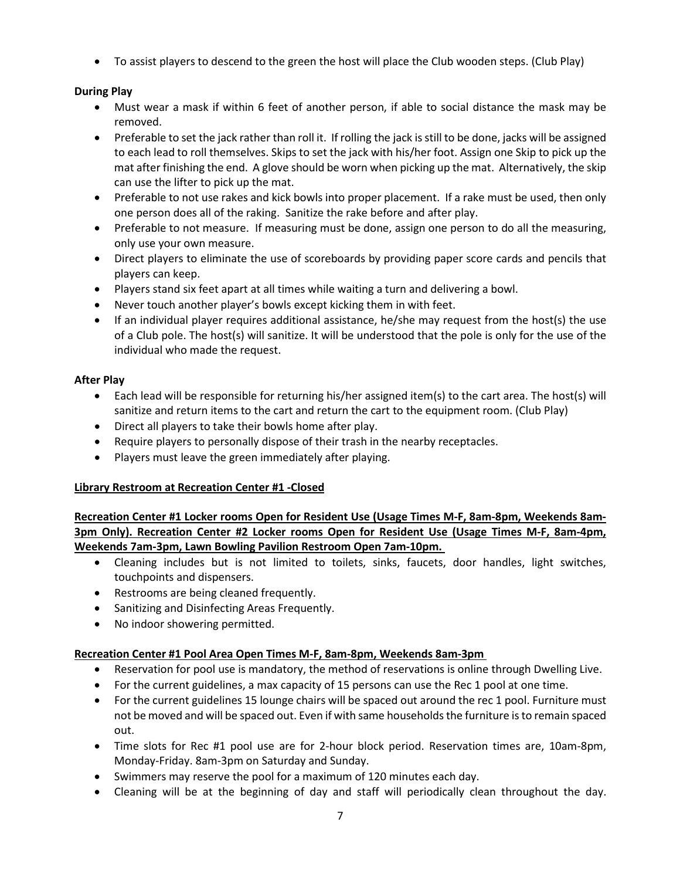• To assist players to descend to the green the host will place the Club wooden steps. (Club Play)

# **During Play**

- Must wear a mask if within 6 feet of another person, if able to social distance the mask may be removed.
- Preferable to set the jack rather than roll it. If rolling the jack is still to be done, jacks will be assigned to each lead to roll themselves. Skips to set the jack with his/her foot. Assign one Skip to pick up the mat after finishing the end. A glove should be worn when picking up the mat. Alternatively, the skip can use the lifter to pick up the mat.
- Preferable to not use rakes and kick bowls into proper placement. If a rake must be used, then only one person does all of the raking. Sanitize the rake before and after play.
- Preferable to not measure. If measuring must be done, assign one person to do all the measuring, only use your own measure.
- Direct players to eliminate the use of scoreboards by providing paper score cards and pencils that players can keep.
- Players stand six feet apart at all times while waiting a turn and delivering a bowl.
- Never touch another player's bowls except kicking them in with feet.
- If an individual player requires additional assistance, he/she may request from the host(s) the use of a Club pole. The host(s) will sanitize. It will be understood that the pole is only for the use of the individual who made the request.

# **After Play**

- Each lead will be responsible for returning his/her assigned item(s) to the cart area. The host(s) will sanitize and return items to the cart and return the cart to the equipment room. (Club Play)
- Direct all players to take their bowls home after play.
- Require players to personally dispose of their trash in the nearby receptacles.
- Players must leave the green immediately after playing.

# **Library Restroom at Recreation Center #1 -Closed**

**Recreation Center #1 Locker rooms Open for Resident Use (Usage Times M-F, 8am-8pm, Weekends 8am-3pm Only). Recreation Center #2 Locker rooms Open for Resident Use (Usage Times M-F, 8am-4pm, Weekends 7am-3pm, Lawn Bowling Pavilion Restroom Open 7am-10pm.** 

- Cleaning includes but is not limited to toilets, sinks, faucets, door handles, light switches, touchpoints and dispensers.
- Restrooms are being cleaned frequently.
- Sanitizing and Disinfecting Areas Frequently.
- No indoor showering permitted.

# **Recreation Center #1 Pool Area Open Times M-F, 8am-8pm, Weekends 8am-3pm**

- Reservation for pool use is mandatory, the method of reservations is online through Dwelling Live.
- For the current guidelines, a max capacity of 15 persons can use the Rec 1 pool at one time.
- For the current guidelines 15 lounge chairs will be spaced out around the rec 1 pool. Furniture must not be moved and will be spaced out. Even if with same households the furniture is to remain spaced out.
- Time slots for Rec #1 pool use are for 2-hour block period. Reservation times are, 10am-8pm, Monday-Friday. 8am-3pm on Saturday and Sunday.
- Swimmers may reserve the pool for a maximum of 120 minutes each day.
- Cleaning will be at the beginning of day and staff will periodically clean throughout the day.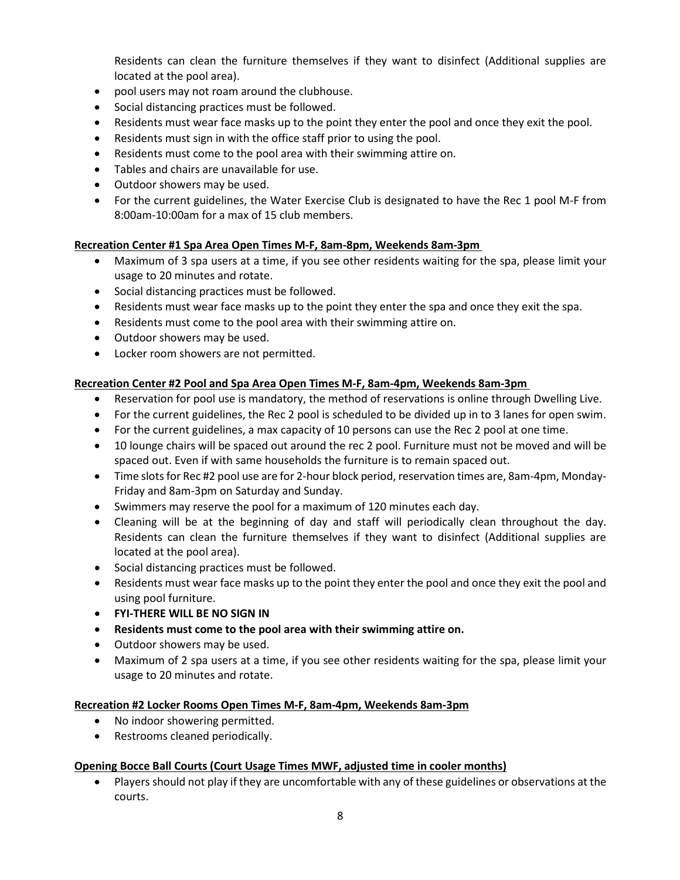Residents can clean the furniture themselves if they want to disinfect (Additional supplies are located at the pool area).

- pool users may not roam around the clubhouse.
- Social distancing practices must be followed.
- Residents must wear face masks up to the point they enter the pool and once they exit the pool.
- Residents must sign in with the office staff prior to using the pool.
- Residents must come to the pool area with their swimming attire on.
- Tables and chairs are unavailable for use.
- Outdoor showers may be used.
- For the current guidelines, the Water Exercise Club is designated to have the Rec 1 pool M-F from 8:00am-10:00am for a max of 15 club members.

# **Recreation Center #1 Spa Area Open Times M-F, 8am-8pm, Weekends 8am-3pm**

- Maximum of 3 spa users at a time, if you see other residents waiting for the spa, please limit your usage to 20 minutes and rotate.
- Social distancing practices must be followed.
- Residents must wear face masks up to the point they enter the spa and once they exit the spa.
- Residents must come to the pool area with their swimming attire on.
- Outdoor showers may be used.
- Locker room showers are not permitted.

# **Recreation Center #2 Pool and Spa Area Open Times M-F, 8am-4pm, Weekends 8am-3pm**

- Reservation for pool use is mandatory, the method of reservations is online through Dwelling Live.
- For the current guidelines, the Rec 2 pool is scheduled to be divided up in to 3 lanes for open swim.
- For the current guidelines, a max capacity of 10 persons can use the Rec 2 pool at one time.
- 10 lounge chairs will be spaced out around the rec 2 pool. Furniture must not be moved and will be spaced out. Even if with same households the furniture is to remain spaced out.
- Time slots for Rec #2 pool use are for 2-hour block period, reservation times are, 8am-4pm, Monday-Friday and 8am-3pm on Saturday and Sunday.
- Swimmers may reserve the pool for a maximum of 120 minutes each day.
- Cleaning will be at the beginning of day and staff will periodically clean throughout the day. Residents can clean the furniture themselves if they want to disinfect (Additional supplies are located at the pool area).
- Social distancing practices must be followed.
- Residents must wear face masks up to the point they enter the pool and once they exit the pool and using pool furniture.
- **FYI-THERE WILL BE NO SIGN IN**
- **Residents must come to the pool area with their swimming attire on.**
- Outdoor showers may be used.
- Maximum of 2 spa users at a time, if you see other residents waiting for the spa, please limit your usage to 20 minutes and rotate.

### **Recreation #2 Locker Rooms Open Times M-F, 8am-4pm, Weekends 8am-3pm**

- No indoor showering permitted.
- Restrooms cleaned periodically.

### **Opening Bocce Ball Courts (Court Usage Times MWF, adjusted time in cooler months)**

• Players should not play if they are uncomfortable with any of these guidelines or observations at the courts.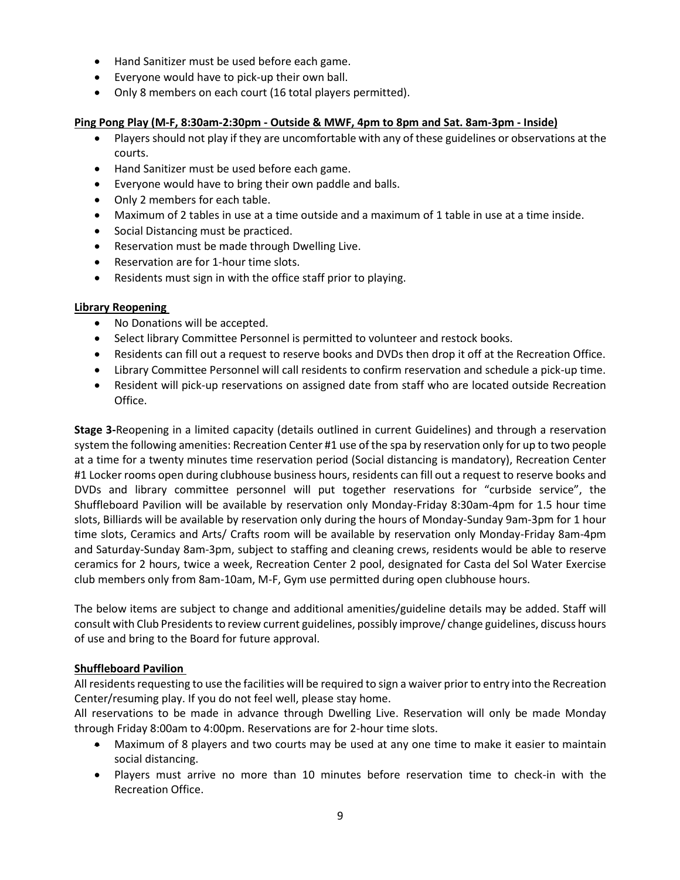- Hand Sanitizer must be used before each game.
- Everyone would have to pick-up their own ball.
- Only 8 members on each court (16 total players permitted).

### **Ping Pong Play (M-F, 8:30am-2:30pm - Outside & MWF, 4pm to 8pm and Sat. 8am-3pm - Inside)**

- Players should not play if they are uncomfortable with any of these guidelines or observations at the courts.
- Hand Sanitizer must be used before each game.
- Everyone would have to bring their own paddle and balls.
- Only 2 members for each table.
- Maximum of 2 tables in use at a time outside and a maximum of 1 table in use at a time inside.
- Social Distancing must be practiced.
- Reservation must be made through Dwelling Live.
- Reservation are for 1-hour time slots.
- Residents must sign in with the office staff prior to playing.

### **Library Reopening**

- No Donations will be accepted.
- Select library Committee Personnel is permitted to volunteer and restock books.
- Residents can fill out a request to reserve books and DVDs then drop it off at the Recreation Office.
- Library Committee Personnel will call residents to confirm reservation and schedule a pick-up time.
- Resident will pick-up reservations on assigned date from staff who are located outside Recreation Office.

**Stage 3-**Reopening in a limited capacity (details outlined in current Guidelines) and through a reservation system the following amenities: Recreation Center #1 use of the spa by reservation only for up to two people at a time for a twenty minutes time reservation period (Social distancing is mandatory), Recreation Center #1 Locker rooms open during clubhouse business hours, residents can fill out a request to reserve books and DVDs and library committee personnel will put together reservations for "curbside service", the Shuffleboard Pavilion will be available by reservation only Monday-Friday 8:30am-4pm for 1.5 hour time slots, Billiards will be available by reservation only during the hours of Monday-Sunday 9am-3pm for 1 hour time slots, Ceramics and Arts/ Crafts room will be available by reservation only Monday-Friday 8am-4pm and Saturday-Sunday 8am-3pm, subject to staffing and cleaning crews, residents would be able to reserve ceramics for 2 hours, twice a week, Recreation Center 2 pool, designated for Casta del Sol Water Exercise club members only from 8am-10am, M-F, Gym use permitted during open clubhouse hours.

The below items are subject to change and additional amenities/guideline details may be added. Staff will consult with Club Presidents to review current guidelines, possibly improve/ change guidelines, discuss hours of use and bring to the Board for future approval.

### **Shuffleboard Pavilion**

All residents requesting to use the facilities will be required to sign a waiver prior to entry into the Recreation Center/resuming play. If you do not feel well, please stay home.

All reservations to be made in advance through Dwelling Live. Reservation will only be made Monday through Friday 8:00am to 4:00pm. Reservations are for 2-hour time slots.

- Maximum of 8 players and two courts may be used at any one time to make it easier to maintain social distancing.
- Players must arrive no more than 10 minutes before reservation time to check-in with the Recreation Office.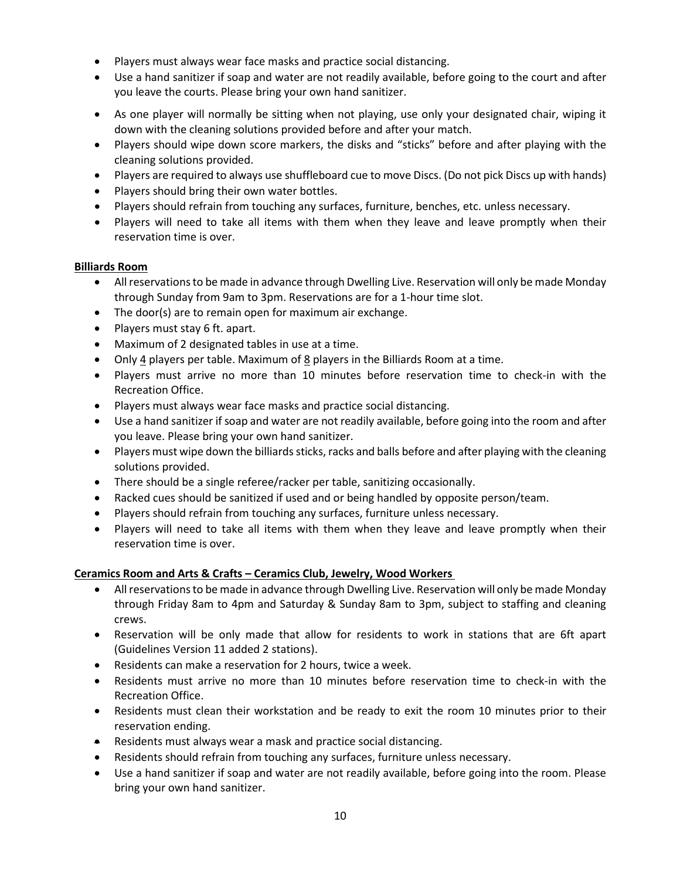- Players must always wear face masks and practice social distancing.
- Use a hand sanitizer if soap and water are not readily available, before going to the court and after you leave the courts. Please bring your own hand sanitizer.
- As one player will normally be sitting when not playing, use only your designated chair, wiping it down with the cleaning solutions provided before and after your match.
- Players should wipe down score markers, the disks and "sticks" before and after playing with the cleaning solutions provided.
- Players are required to always use shuffleboard cue to move Discs. (Do not pick Discs up with hands)
- Players should bring their own water bottles.
- Players should refrain from touching any surfaces, furniture, benches, etc. unless necessary.
- Players will need to take all items with them when they leave and leave promptly when their reservation time is over.

#### **Billiards Room**

- All reservations to be made in advance through Dwelling Live. Reservation will only be made Monday through Sunday from 9am to 3pm. Reservations are for a 1-hour time slot.
- The door(s) are to remain open for maximum air exchange.
- Players must stay 6 ft. apart.
- Maximum of 2 designated tables in use at a time.
- Only  $\frac{4}{5}$  players per table. Maximum of  $\frac{8}{5}$  players in the Billiards Room at a time.
- Players must arrive no more than 10 minutes before reservation time to check-in with the Recreation Office.
- Players must always wear face masks and practice social distancing.
- Use a hand sanitizer if soap and water are not readily available, before going into the room and after you leave. Please bring your own hand sanitizer.
- Players must wipe down the billiards sticks, racks and balls before and after playing with the cleaning solutions provided.
- There should be a single referee/racker per table, sanitizing occasionally.
- Racked cues should be sanitized if used and or being handled by opposite person/team.
- Players should refrain from touching any surfaces, furniture unless necessary.
- Players will need to take all items with them when they leave and leave promptly when their reservation time is over.

### **Ceramics Room and Arts & Crafts – Ceramics Club, Jewelry, Wood Workers**

- All reservations to be made in advance through Dwelling Live. Reservation will only be made Monday through Friday 8am to 4pm and Saturday & Sunday 8am to 3pm, subject to staffing and cleaning crews.
- Reservation will be only made that allow for residents to work in stations that are 6ft apart (Guidelines Version 11 added 2 stations).
- Residents can make a reservation for 2 hours, twice a week.
- Residents must arrive no more than 10 minutes before reservation time to check-in with the Recreation Office.
- Residents must clean their workstation and be ready to exit the room 10 minutes prior to their reservation ending.
- Residents must always wear a mask and practice social distancing.
- Residents should refrain from touching any surfaces, furniture unless necessary.
- Use a hand sanitizer if soap and water are not readily available, before going into the room. Please bring your own hand sanitizer.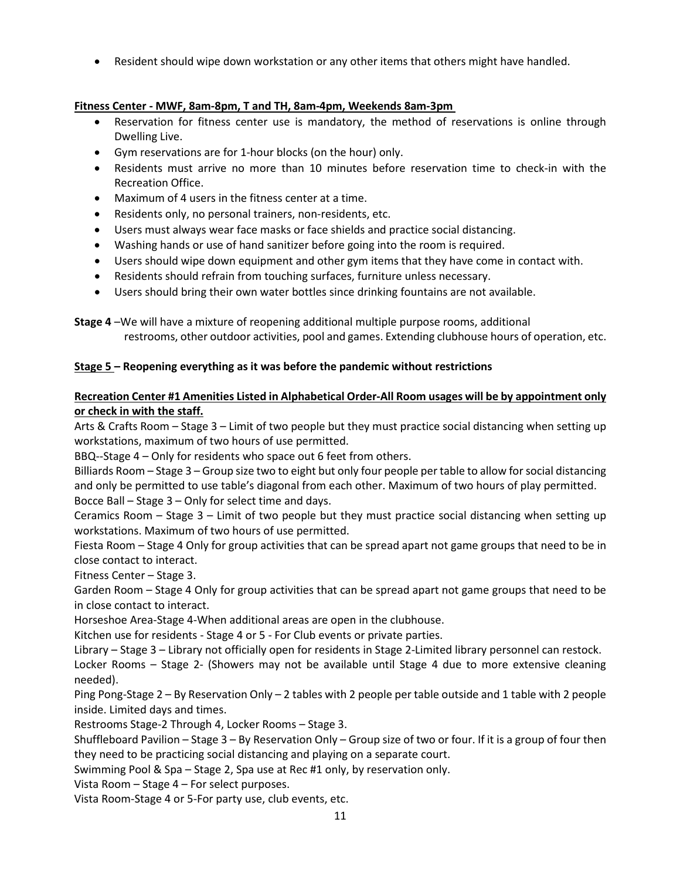• Resident should wipe down workstation or any other items that others might have handled.

# **Fitness Center - MWF, 8am-8pm, T and TH, 8am-4pm, Weekends 8am-3pm**

- Reservation for fitness center use is mandatory, the method of reservations is online through Dwelling Live.
- Gym reservations are for 1-hour blocks (on the hour) only.
- Residents must arrive no more than 10 minutes before reservation time to check-in with the Recreation Office.
- Maximum of 4 users in the fitness center at a time.
- Residents only, no personal trainers, non-residents, etc.
- Users must always wear face masks or face shields and practice social distancing.
- Washing hands or use of hand sanitizer before going into the room is required.
- Users should wipe down equipment and other gym items that they have come in contact with.
- Residents should refrain from touching surfaces, furniture unless necessary.
- Users should bring their own water bottles since drinking fountains are not available.

**Stage 4** –We will have a mixture of reopening additional multiple purpose rooms, additional restrooms, other outdoor activities, pool and games. Extending clubhouse hours of operation, etc.

# **Stage 5 – Reopening everything as it was before the pandemic without restrictions**

# **Recreation Center #1 Amenities Listed in Alphabetical Order-All Room usages will be by appointment only or check in with the staff.**

Arts & Crafts Room – Stage 3 – Limit of two people but they must practice social distancing when setting up workstations, maximum of two hours of use permitted.

BBQ--Stage 4 – Only for residents who space out 6 feet from others.

Billiards Room – Stage 3 – Group size two to eight but only four people per table to allow for social distancing and only be permitted to use table's diagonal from each other. Maximum of two hours of play permitted. Bocce Ball – Stage 3 – Only for select time and days.

Ceramics Room – Stage 3 – Limit of two people but they must practice social distancing when setting up workstations. Maximum of two hours of use permitted.

Fiesta Room – Stage 4 Only for group activities that can be spread apart not game groups that need to be in close contact to interact.

Fitness Center – Stage 3.

Garden Room – Stage 4 Only for group activities that can be spread apart not game groups that need to be in close contact to interact.

Horseshoe Area-Stage 4-When additional areas are open in the clubhouse.

Kitchen use for residents - Stage 4 or 5 - For Club events or private parties.

Library – Stage 3 – Library not officially open for residents in Stage 2-Limited library personnel can restock.

Locker Rooms – Stage 2- (Showers may not be available until Stage 4 due to more extensive cleaning needed).

Ping Pong-Stage 2 – By Reservation Only – 2 tables with 2 people per table outside and 1 table with 2 people inside. Limited days and times.

Restrooms Stage-2 Through 4, Locker Rooms – Stage 3.

Shuffleboard Pavilion – Stage 3 – By Reservation Only – Group size of two or four. If it is a group of four then they need to be practicing social distancing and playing on a separate court.

Swimming Pool & Spa – Stage 2, Spa use at Rec #1 only, by reservation only.

Vista Room – Stage 4 – For select purposes.

Vista Room-Stage 4 or 5-For party use, club events, etc.